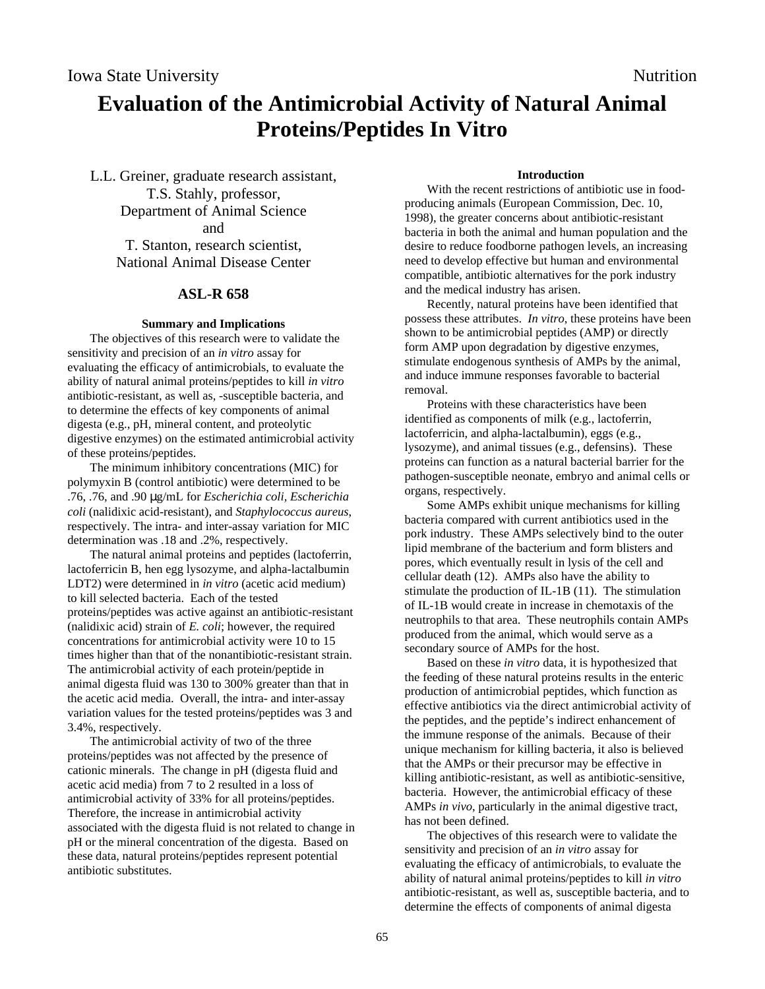# **Evaluation of the Antimicrobial Activity of Natural Animal Proteins/Peptides In Vitro**

L.L. Greiner, graduate research assistant, T.S. Stahly, professor, Department of Animal Science and T. Stanton, research scientist, National Animal Disease Center

# **ASL-R 658**

### **Summary and Implications**

The objectives of this research were to validate the sensitivity and precision of an *in vitro* assay for evaluating the efficacy of antimicrobials, to evaluate the ability of natural animal proteins/peptides to kill *in vitro* antibiotic-resistant, as well as, -susceptible bacteria, and to determine the effects of key components of animal digesta (e.g., pH, mineral content, and proteolytic digestive enzymes) on the estimated antimicrobial activity of these proteins/peptides.

The minimum inhibitory concentrations (MIC) for polymyxin B (control antibiotic) were determined to be .76, .76, and .90 µg/mL for *Escherichia coli, Escherichia coli* (nalidixic acid-resistant), and *Staphylococcus aureus*, respectively. The intra- and inter-assay variation for MIC determination was .18 and .2%, respectively.

The natural animal proteins and peptides (lactoferrin, lactoferricin B, hen egg lysozyme, and alpha-lactalbumin LDT2) were determined in *in vitro* (acetic acid medium) to kill selected bacteria. Each of the tested proteins/peptides was active against an antibiotic-resistant (nalidixic acid) strain of *E. coli*; however, the required concentrations for antimicrobial activity were 10 to 15 times higher than that of the nonantibiotic-resistant strain. The antimicrobial activity of each protein/peptide in animal digesta fluid was 130 to 300% greater than that in the acetic acid media. Overall, the intra- and inter-assay variation values for the tested proteins/peptides was 3 and 3.4%, respectively.

The antimicrobial activity of two of the three proteins/peptides was not affected by the presence of cationic minerals. The change in pH (digesta fluid and acetic acid media) from 7 to 2 resulted in a loss of antimicrobial activity of 33% for all proteins/peptides. Therefore, the increase in antimicrobial activity associated with the digesta fluid is not related to change in pH or the mineral concentration of the digesta. Based on these data, natural proteins/peptides represent potential antibiotic substitutes.

#### **Introduction**

With the recent restrictions of antibiotic use in foodproducing animals (European Commission, Dec. 10, 1998), the greater concerns about antibiotic-resistant bacteria in both the animal and human population and the desire to reduce foodborne pathogen levels, an increasing need to develop effective but human and environmental compatible, antibiotic alternatives for the pork industry and the medical industry has arisen.

Recently, natural proteins have been identified that possess these attributes. *In vitro*, these proteins have been shown to be antimicrobial peptides (AMP) or directly form AMP upon degradation by digestive enzymes, stimulate endogenous synthesis of AMPs by the animal, and induce immune responses favorable to bacterial removal.

Proteins with these characteristics have been identified as components of milk (e.g., lactoferrin, lactoferricin, and alpha-lactalbumin), eggs (e.g., lysozyme), and animal tissues (e.g., defensins). These proteins can function as a natural bacterial barrier for the pathogen-susceptible neonate, embryo and animal cells or organs, respectively.

Some AMPs exhibit unique mechanisms for killing bacteria compared with current antibiotics used in the pork industry. These AMPs selectively bind to the outer lipid membrane of the bacterium and form blisters and pores, which eventually result in lysis of the cell and cellular death (12). AMPs also have the ability to stimulate the production of IL-1B (11). The stimulation of IL-1B would create in increase in chemotaxis of the neutrophils to that area. These neutrophils contain AMPs produced from the animal, which would serve as a secondary source of AMPs for the host.

Based on these *in vitro* data, it is hypothesized that the feeding of these natural proteins results in the enteric production of antimicrobial peptides, which function as effective antibiotics via the direct antimicrobial activity of the peptides, and the peptide's indirect enhancement of the immune response of the animals. Because of their unique mechanism for killing bacteria, it also is believed that the AMPs or their precursor may be effective in killing antibiotic-resistant, as well as antibiotic-sensitive, bacteria. However, the antimicrobial efficacy of these AMPs *in vivo*, particularly in the animal digestive tract, has not been defined.

The objectives of this research were to validate the sensitivity and precision of an *in vitro* assay for evaluating the efficacy of antimicrobials, to evaluate the ability of natural animal proteins/peptides to kill *in vitro* antibiotic-resistant, as well as, susceptible bacteria, and to determine the effects of components of animal digesta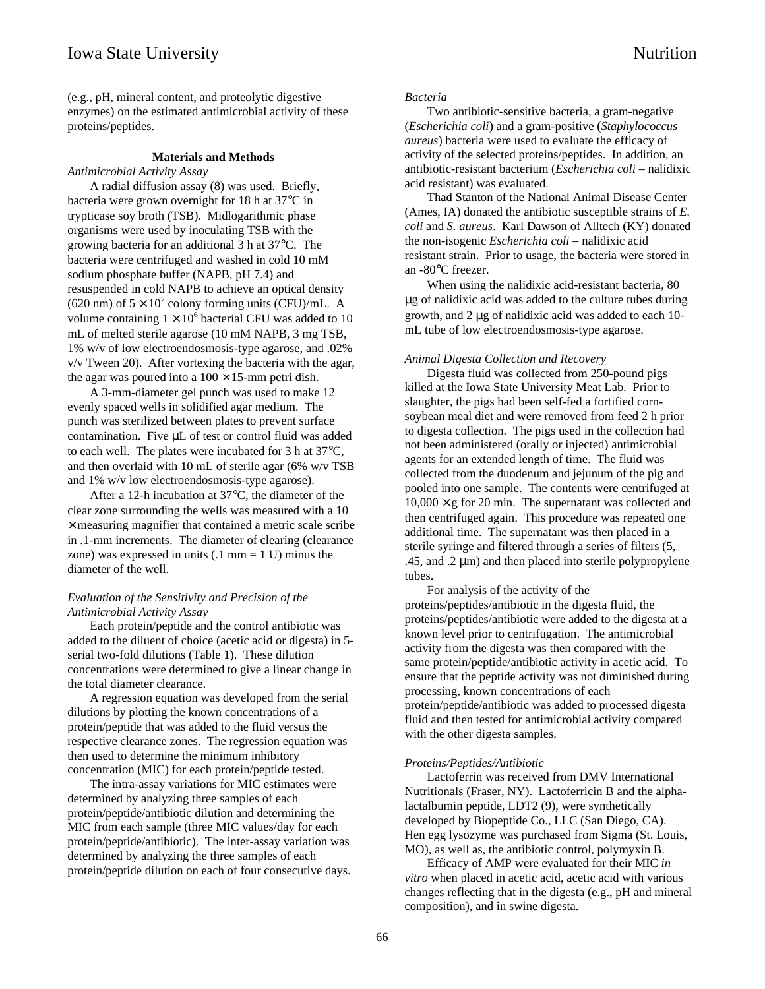(e.g., pH, mineral content, and proteolytic digestive enzymes) on the estimated antimicrobial activity of these proteins/peptides.

## **Materials and Methods**

*Antimicrobial Activity Assay*

A radial diffusion assay (8) was used. Briefly, bacteria were grown overnight for 18 h at 37°C in trypticase soy broth (TSB). Midlogarithmic phase organisms were used by inoculating TSB with the growing bacteria for an additional 3 h at 37°C. The bacteria were centrifuged and washed in cold 10 mM sodium phosphate buffer (NAPB, pH 7.4) and resuspended in cold NAPB to achieve an optical density (620 nm) of  $5 \times 10^7$  colony forming units (CFU)/mL. A volume containing  $1 \times 10^6$  bacterial CFU was added to 10 mL of melted sterile agarose (10 mM NAPB, 3 mg TSB, 1% w/v of low electroendosmosis-type agarose, and .02% v/v Tween 20). After vortexing the bacteria with the agar, the agar was poured into a  $100 \times 15$ -mm petri dish.

A 3-mm-diameter gel punch was used to make 12 evenly spaced wells in solidified agar medium. The punch was sterilized between plates to prevent surface contamination. Five  $\mu$ L of test or control fluid was added to each well. The plates were incubated for 3 h at 37°C, and then overlaid with 10 mL of sterile agar (6% w/v TSB and 1% w/v low electroendosmosis-type agarose).

After a 12-h incubation at 37°C, the diameter of the clear zone surrounding the wells was measured with a 10  $\times$  measuring magnifier that contained a metric scale scribe in .1-mm increments. The diameter of clearing (clearance zone) was expressed in units  $(.1 \text{ mm} = 1 \text{ U})$  minus the diameter of the well.

# *Evaluation of the Sensitivity and Precision of the Antimicrobial Activity Assay*

Each protein/peptide and the control antibiotic was added to the diluent of choice (acetic acid or digesta) in 5 serial two-fold dilutions (Table 1). These dilution concentrations were determined to give a linear change in the total diameter clearance.

A regression equation was developed from the serial dilutions by plotting the known concentrations of a protein/peptide that was added to the fluid versus the respective clearance zones. The regression equation was then used to determine the minimum inhibitory concentration (MIC) for each protein/peptide tested.

The intra-assay variations for MIC estimates were determined by analyzing three samples of each protein/peptide/antibiotic dilution and determining the MIC from each sample (three MIC values/day for each protein/peptide/antibiotic). The inter-assay variation was determined by analyzing the three samples of each protein/peptide dilution on each of four consecutive days.

#### *Bacteria*

Two antibiotic-sensitive bacteria, a gram-negative (*Escherichia coli*) and a gram-positive (*Staphylococcus aureus*) bacteria were used to evaluate the efficacy of activity of the selected proteins/peptides. In addition, an antibiotic-resistant bacterium (*Escherichia coli* – nalidixic acid resistant) was evaluated.

Thad Stanton of the National Animal Disease Center (Ames, IA) donated the antibiotic susceptible strains of *E. coli* and *S. aureus*. Karl Dawson of Alltech (KY) donated the non-isogenic *Escherichia coli –* nalidixic acid resistant strain. Prior to usage, the bacteria were stored in an -80°C freezer.

When using the nalidixic acid-resistant bacteria, 80 µg of nalidixic acid was added to the culture tubes during growth, and 2 µg of nalidixic acid was added to each 10 mL tube of low electroendosmosis-type agarose.

#### *Animal Digesta Collection and Recovery*

Digesta fluid was collected from 250-pound pigs killed at the Iowa State University Meat Lab. Prior to slaughter, the pigs had been self-fed a fortified cornsoybean meal diet and were removed from feed 2 h prior to digesta collection. The pigs used in the collection had not been administered (orally or injected) antimicrobial agents for an extended length of time. The fluid was collected from the duodenum and jejunum of the pig and pooled into one sample. The contents were centrifuged at  $10,000 \times g$  for 20 min. The supernatant was collected and then centrifuged again. This procedure was repeated one additional time. The supernatant was then placed in a sterile syringe and filtered through a series of filters (5, .45, and .2  $\mu$ m) and then placed into sterile polypropylene tubes.

For analysis of the activity of the proteins/peptides/antibiotic in the digesta fluid, the proteins/peptides/antibiotic were added to the digesta at a known level prior to centrifugation. The antimicrobial activity from the digesta was then compared with the same protein/peptide/antibiotic activity in acetic acid. To ensure that the peptide activity was not diminished during processing, known concentrations of each protein/peptide/antibiotic was added to processed digesta fluid and then tested for antimicrobial activity compared with the other digesta samples.

#### *Proteins/Peptides/Antibiotic*

Lactoferrin was received from DMV International Nutritionals (Fraser, NY). Lactoferricin B and the alphalactalbumin peptide, LDT2 (9), were synthetically developed by Biopeptide Co., LLC (San Diego, CA). Hen egg lysozyme was purchased from Sigma (St. Louis, MO), as well as, the antibiotic control, polymyxin B.

Efficacy of AMP were evaluated for their MIC *in vitro* when placed in acetic acid, acetic acid with various changes reflecting that in the digesta (e.g., pH and mineral composition), and in swine digesta.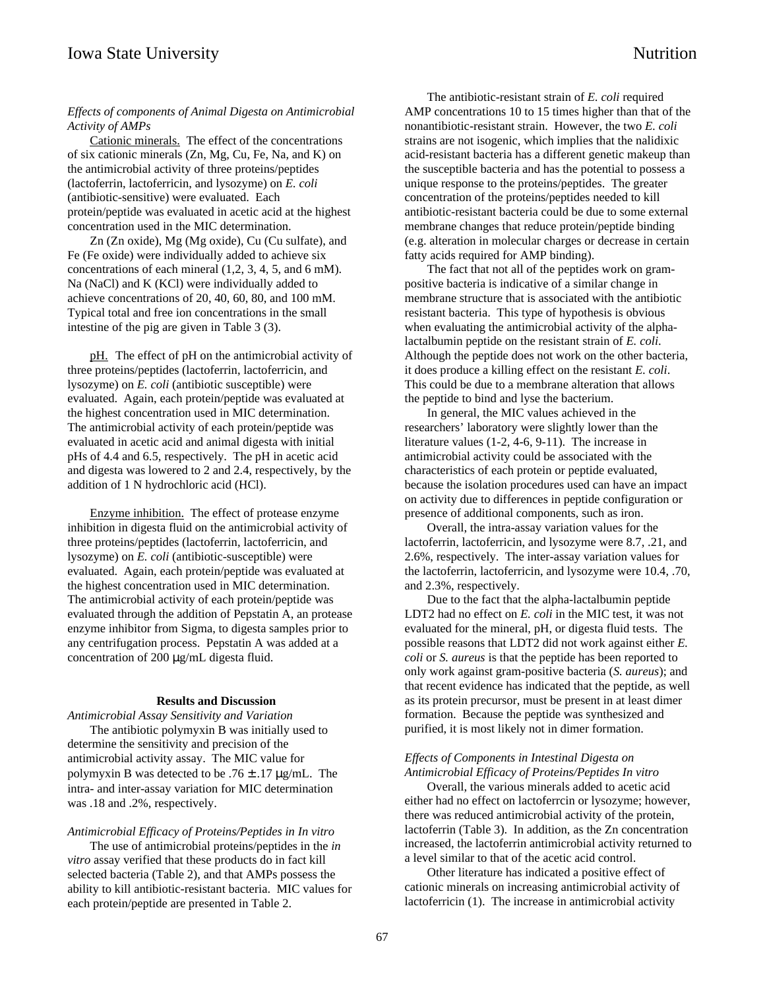## *Effects of components of Animal Digesta on Antimicrobial Activity of AMPs*

Cationic minerals. The effect of the concentrations of six cationic minerals (Zn, Mg, Cu, Fe, Na, and K) on the antimicrobial activity of three proteins/peptides (lactoferrin, lactoferricin, and lysozyme) on *E. coli* (antibiotic-sensitive) were evaluated. Each protein/peptide was evaluated in acetic acid at the highest concentration used in the MIC determination.

Zn (Zn oxide), Mg (Mg oxide), Cu (Cu sulfate), and Fe (Fe oxide) were individually added to achieve six concentrations of each mineral (1,2, 3, 4, 5, and 6 mM). Na (NaCl) and K (KCl) were individually added to achieve concentrations of 20, 40, 60, 80, and 100 mM. Typical total and free ion concentrations in the small intestine of the pig are given in Table 3 (3).

pH. The effect of pH on the antimicrobial activity of three proteins/peptides (lactoferrin, lactoferricin, and lysozyme) on *E. coli* (antibiotic susceptible) were evaluated. Again, each protein/peptide was evaluated at the highest concentration used in MIC determination. The antimicrobial activity of each protein/peptide was evaluated in acetic acid and animal digesta with initial pHs of 4.4 and 6.5, respectively. The pH in acetic acid and digesta was lowered to 2 and 2.4, respectively, by the addition of 1 N hydrochloric acid (HCl).

Enzyme inhibition. The effect of protease enzyme inhibition in digesta fluid on the antimicrobial activity of three proteins/peptides (lactoferrin, lactoferricin, and lysozyme) on *E. coli* (antibiotic-susceptible) were evaluated. Again, each protein/peptide was evaluated at the highest concentration used in MIC determination. The antimicrobial activity of each protein/peptide was evaluated through the addition of Pepstatin A, an protease enzyme inhibitor from Sigma, to digesta samples prior to any centrifugation process. Pepstatin A was added at a concentration of 200 µg/mL digesta fluid.

## **Results and Discussion**

*Antimicrobial Assay Sensitivity and Variation* The antibiotic polymyxin B was initially used to determine the sensitivity and precision of the antimicrobial activity assay. The MIC value for polymyxin B was detected to be  $.76 \pm .17$   $\mu$ g/mL. The intra- and inter-assay variation for MIC determination was .18 and .2%, respectively.

## *Antimicrobial Efficacy of Proteins/Peptides in In vitro*

The use of antimicrobial proteins/peptides in the *in vitro* assay verified that these products do in fact kill selected bacteria (Table 2), and that AMPs possess the ability to kill antibiotic-resistant bacteria. MIC values for each protein/peptide are presented in Table 2.

The antibiotic-resistant strain of *E. coli* required AMP concentrations 10 to 15 times higher than that of the nonantibiotic-resistant strain. However, the two *E. coli* strains are not isogenic, which implies that the nalidixic acid-resistant bacteria has a different genetic makeup than the susceptible bacteria and has the potential to possess a unique response to the proteins/peptides. The greater concentration of the proteins/peptides needed to kill antibiotic-resistant bacteria could be due to some external membrane changes that reduce protein/peptide binding (e.g. alteration in molecular charges or decrease in certain fatty acids required for AMP binding).

The fact that not all of the peptides work on grampositive bacteria is indicative of a similar change in membrane structure that is associated with the antibiotic resistant bacteria. This type of hypothesis is obvious when evaluating the antimicrobial activity of the alphalactalbumin peptide on the resistant strain of *E. coli*. Although the peptide does not work on the other bacteria, it does produce a killing effect on the resistant *E. coli*. This could be due to a membrane alteration that allows the peptide to bind and lyse the bacterium.

In general, the MIC values achieved in the researchers' laboratory were slightly lower than the literature values (1-2, 4-6, 9-11). The increase in antimicrobial activity could be associated with the characteristics of each protein or peptide evaluated, because the isolation procedures used can have an impact on activity due to differences in peptide configuration or presence of additional components, such as iron.

Overall, the intra-assay variation values for the lactoferrin, lactoferricin, and lysozyme were 8.7, .21, and 2.6%, respectively. The inter-assay variation values for the lactoferrin, lactoferricin, and lysozyme were 10.4, .70, and 2.3%, respectively.

Due to the fact that the alpha-lactalbumin peptide LDT2 had no effect on *E. coli* in the MIC test, it was not evaluated for the mineral, pH, or digesta fluid tests. The possible reasons that LDT2 did not work against either *E. coli* or *S. aureus* is that the peptide has been reported to only work against gram-positive bacteria (*S. aureus*); and that recent evidence has indicated that the peptide, as well as its protein precursor, must be present in at least dimer formation. Because the peptide was synthesized and purified, it is most likely not in dimer formation.

# *Effects of Components in Intestinal Digesta on Antimicrobial Efficacy of Proteins/Peptides In vitro*

Overall, the various minerals added to acetic acid either had no effect on lactoferrcin or lysozyme; however, there was reduced antimicrobial activity of the protein, lactoferrin (Table 3). In addition, as the Zn concentration increased, the lactoferrin antimicrobial activity returned to a level similar to that of the acetic acid control.

Other literature has indicated a positive effect of cationic minerals on increasing antimicrobial activity of lactoferricin (1). The increase in antimicrobial activity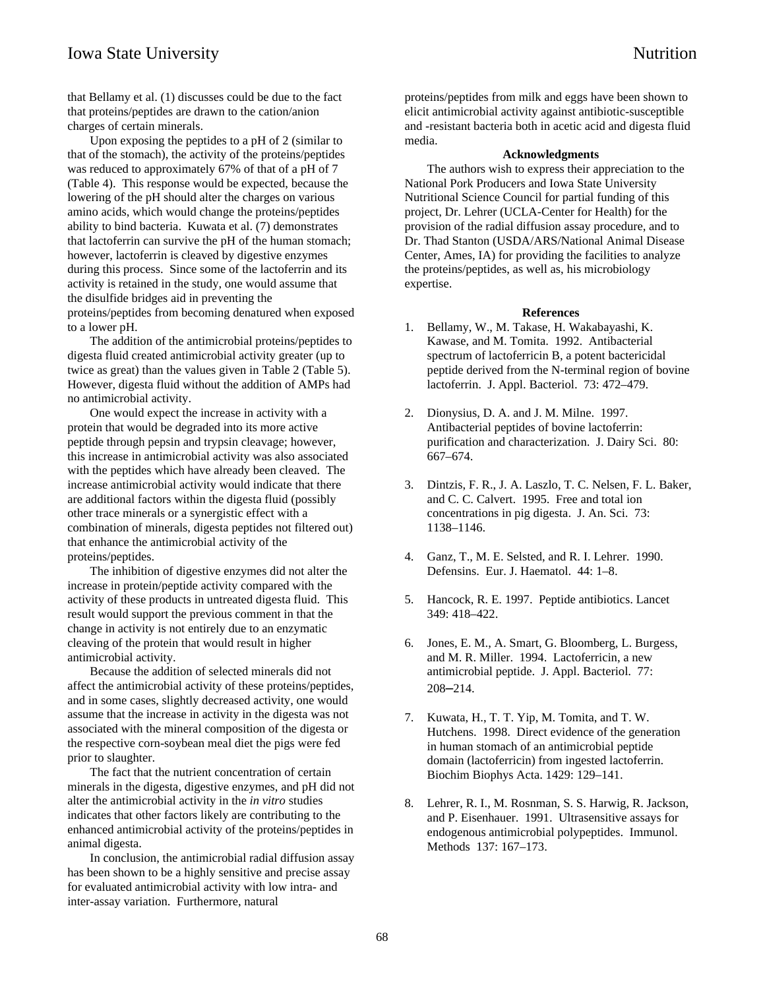that Bellamy et al. (1) discusses could be due to the fact that proteins/peptides are drawn to the cation/anion charges of certain minerals.

Upon exposing the peptides to a pH of 2 (similar to that of the stomach), the activity of the proteins/peptides was reduced to approximately 67% of that of a pH of 7 (Table 4). This response would be expected, because the lowering of the pH should alter the charges on various amino acids, which would change the proteins/peptides ability to bind bacteria. Kuwata et al. (7) demonstrates that lactoferrin can survive the pH of the human stomach; however, lactoferrin is cleaved by digestive enzymes during this process. Since some of the lactoferrin and its activity is retained in the study, one would assume that the disulfide bridges aid in preventing the proteins/peptides from becoming denatured when exposed to a lower pH.

The addition of the antimicrobial proteins/peptides to digesta fluid created antimicrobial activity greater (up to twice as great) than the values given in Table 2 (Table 5). However, digesta fluid without the addition of AMPs had no antimicrobial activity.

One would expect the increase in activity with a protein that would be degraded into its more active peptide through pepsin and trypsin cleavage; however, this increase in antimicrobial activity was also associated with the peptides which have already been cleaved. The increase antimicrobial activity would indicate that there are additional factors within the digesta fluid (possibly other trace minerals or a synergistic effect with a combination of minerals, digesta peptides not filtered out) that enhance the antimicrobial activity of the proteins/peptides.

The inhibition of digestive enzymes did not alter the increase in protein/peptide activity compared with the activity of these products in untreated digesta fluid. This result would support the previous comment in that the change in activity is not entirely due to an enzymatic cleaving of the protein that would result in higher antimicrobial activity.

Because the addition of selected minerals did not affect the antimicrobial activity of these proteins/peptides, and in some cases, slightly decreased activity, one would assume that the increase in activity in the digesta was not associated with the mineral composition of the digesta or the respective corn-soybean meal diet the pigs were fed prior to slaughter.

The fact that the nutrient concentration of certain minerals in the digesta, digestive enzymes, and pH did not alter the antimicrobial activity in the *in vitro* studies indicates that other factors likely are contributing to the enhanced antimicrobial activity of the proteins/peptides in animal digesta.

In conclusion, the antimicrobial radial diffusion assay has been shown to be a highly sensitive and precise assay for evaluated antimicrobial activity with low intra- and inter-assay variation. Furthermore, natural

proteins/peptides from milk and eggs have been shown to elicit antimicrobial activity against antibiotic-susceptible and -resistant bacteria both in acetic acid and digesta fluid media.

## **Acknowledgments**

The authors wish to express their appreciation to the National Pork Producers and Iowa State University Nutritional Science Council for partial funding of this project, Dr. Lehrer (UCLA-Center for Health) for the provision of the radial diffusion assay procedure, and to Dr. Thad Stanton (USDA/ARS/National Animal Disease Center, Ames, IA) for providing the facilities to analyze the proteins/peptides, as well as, his microbiology expertise.

#### **References**

- 1. Bellamy, W., M. Takase, H. Wakabayashi, K. Kawase, and M. Tomita. 1992. Antibacterial spectrum of lactoferricin B, a potent bactericidal peptide derived from the N-terminal region of bovine lactoferrin. J. Appl. Bacteriol. 73: 472–479.
- 2. Dionysius, D. A. and J. M. Milne. 1997. Antibacterial peptides of bovine lactoferrin: purification and characterization. J. Dairy Sci. 80: 667–674.
- 3. Dintzis, F. R., J. A. Laszlo, T. C. Nelsen, F. L. Baker, and C. C. Calvert. 1995. Free and total ion concentrations in pig digesta. J. An. Sci. 73: 1138–1146.
- 4. Ganz, T., M. E. Selsted, and R. I. Lehrer. 1990. Defensins. Eur. J. Haematol. 44: 1–8.
- 5. Hancock, R. E. 1997. Peptide antibiotics. Lancet 349: 418–422.
- 6. Jones, E. M., A. Smart, G. Bloomberg, L. Burgess, and M. R. Miller. 1994. Lactoferricin, a new antimicrobial peptide. J. Appl. Bacteriol. 77: 208**–**214.
- 7. Kuwata, H., T. T. Yip, M. Tomita, and T. W. Hutchens. 1998. Direct evidence of the generation in human stomach of an antimicrobial peptide domain (lactoferricin) from ingested lactoferrin. Biochim Biophys Acta. 1429: 129–141.
- 8. Lehrer, R. I., M. Rosnman, S. S. Harwig, R. Jackson, and P. Eisenhauer. 1991. Ultrasensitive assays for endogenous antimicrobial polypeptides. Immunol. Methods 137: 167–173.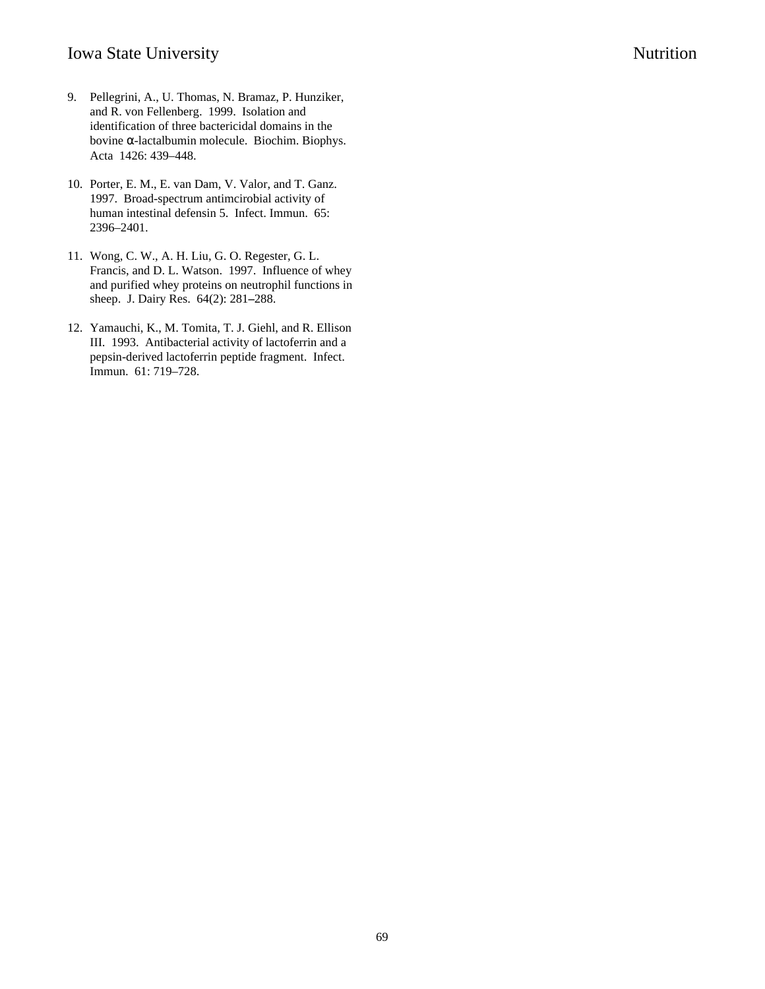- 9. Pellegrini, A., U. Thomas, N. Bramaz, P. Hunziker, and R. von Fellenberg. 1999. Isolation and identification of three bactericidal domains in the bovine α-lactalbumin molecule. Biochim. Biophys. Acta 1426: 439–448.
- 10. Porter, E. M., E. van Dam, V. Valor, and T. Ganz. 1997. Broad-spectrum antimcirobial activity of human intestinal defensin 5. Infect. Immun. 65: 2396–2401.
- 11. Wong, C. W., A. H. Liu, G. O. Regester, G. L. Francis, and D. L. Watson. 1997. Influence of whey and purified whey proteins on neutrophil functions in sheep. J. Dairy Res. 64(2): 281**–**288.
- 12. Yamauchi, K., M. Tomita, T. J. Giehl, and R. Ellison III. 1993. Antibacterial activity of lactoferrin and a pepsin-derived lactoferrin peptide fragment. Infect. Immun. 61: 719–728.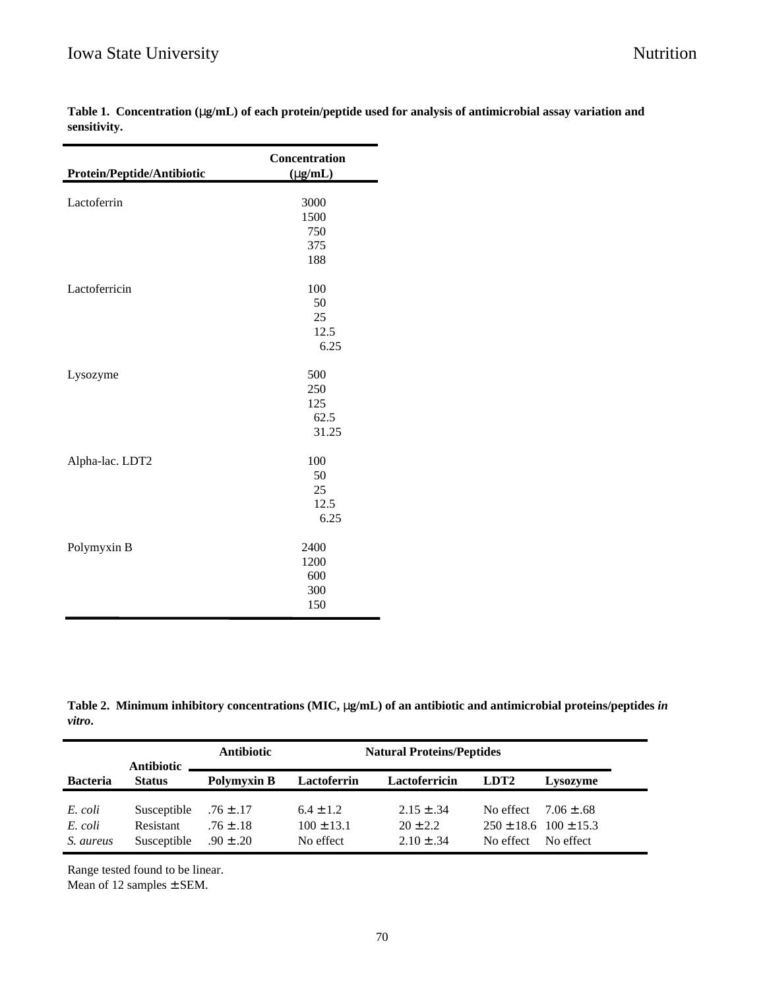| Protein/Peptide/Antibiotic | Concentration<br>$(\mu g/mL)$ |
|----------------------------|-------------------------------|
|                            |                               |
| Lactoferrin                | 3000                          |
|                            | 1500                          |
|                            | 750                           |
|                            | 375                           |
|                            | 188                           |
| Lactoferricin              | 100                           |
|                            | 50                            |
|                            | 25                            |
|                            | 12.5                          |
|                            | 6.25                          |
| Lysozyme                   | 500                           |
|                            | 250                           |
|                            | 125                           |
|                            | 62.5                          |
|                            | 31.25                         |
| Alpha-lac. LDT2            | 100                           |
|                            | 50                            |
|                            | 25                            |
|                            | 12.5                          |
|                            | 6.25                          |
| Polymyxin B                | 2400                          |
|                            | 1200                          |
|                            | 600                           |
|                            | 300                           |
|                            | 150                           |

**Table 1. Concentration (**µ**g/mL) of each protein/peptide used for analysis of antimicrobial assay variation and sensitivity.**

**Table 2. Minimum inhibitory concentrations (MIC,** µ**g/mL) of an antibiotic and antimicrobial proteins/peptides** *in vitro***.**

|                                 | <b>Antibiotic</b>                       | <b>Antibiotic</b>                               |                                              |                                                |                        | <b>Natural Proteins/Peptides</b>                           |  |  |  |  |
|---------------------------------|-----------------------------------------|-------------------------------------------------|----------------------------------------------|------------------------------------------------|------------------------|------------------------------------------------------------|--|--|--|--|
| <b>Bacteria</b>                 | <b>Status</b>                           | <b>Polymyxin B</b>                              | Lactoferrin                                  | Lactoferricin                                  | LDT <sub>2</sub>       | Lysozyme                                                   |  |  |  |  |
| E. coli<br>E. coli<br>S. aureus | Susceptible<br>Resistant<br>Susceptible | $.76 \pm .17$<br>$.76 \pm .18$<br>$.90 \pm .20$ | $6.4 \pm 1.2$<br>$100 \pm 13.1$<br>No effect | $2.15 \pm .34$<br>$20 + 2.2$<br>$2.10 \pm .34$ | No effect<br>No effect | $7.06 + .68$<br>$250 \pm 18.6$ $100 \pm 15.3$<br>No effect |  |  |  |  |

Range tested found to be linear.

Mean of 12 samples ± SEM.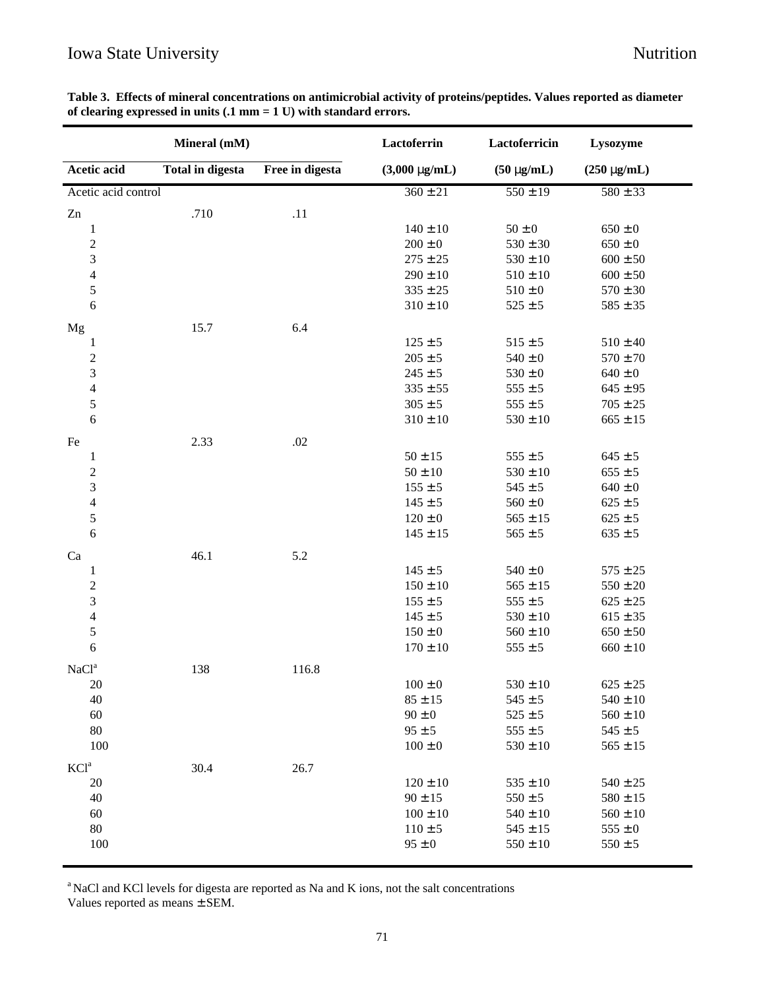# Iowa State University Nutrition

| Table 3. Effects of mineral concentrations on antimicrobial activity of proteins/peptides. Values reported as diameter |  |
|------------------------------------------------------------------------------------------------------------------------|--|
| of clearing expressed in units $(0.1 \text{ mm} = 1 \text{ U})$ with standard errors.                                  |  |

|                                | Mineral (mM)            |                 | Lactoferrin              | Lactoferricin               | Lysozyme                    |
|--------------------------------|-------------------------|-----------------|--------------------------|-----------------------------|-----------------------------|
| Acetic acid                    | <b>Total in digesta</b> | Free in digesta | $(3,000 \mu g/mL)$       | $(50 \mu g/mL)$             | $(250 \mu g/mL)$            |
| Acetic acid control            |                         |                 | $360 \pm 21$             | $550 \pm 19$                | $580 \pm 33$                |
| Zn                             | .710                    | .11             |                          |                             |                             |
| $\mathbf{1}$                   |                         |                 | $140 \pm 10$             | $50\pm0$                    | $650\pm0$                   |
| $\overline{\mathbf{c}}$        |                         |                 | $200\pm0$                | $530 \pm 30$                | $650\pm0$                   |
| 3                              |                         |                 | $275 \pm 25$             | $530\pm10$                  | $600\pm50$                  |
| $\overline{\mathcal{L}}$       |                         |                 | $290\pm10$               | $510 \pm 10$                | $600 \pm 50$                |
| 5                              |                         |                 | $335 \pm 25$             | $510\pm0$                   | $570 \pm 30$                |
| $\sqrt{6}$                     |                         |                 | $310 \pm 10$             | $525\pm5$                   | $585 \pm 35$                |
| Mg                             | 15.7                    | 6.4             |                          |                             |                             |
| $\mathbf{1}$                   |                         |                 | $125 \pm 5$              | $515 \pm 5$                 | $510 \pm 40$                |
| $\overline{\mathbf{c}}$        |                         |                 | $205 \pm 5$              | $540\pm0$                   | $570 \pm 70$                |
| 3                              |                         |                 | $245 \pm 5$              | $530\pm0$                   | $640\pm0$                   |
| $\overline{\mathbf{4}}$        |                         |                 | $335 \pm 55$             | $555\pm5$                   | $645 \pm 95$                |
| 5                              |                         |                 | $305 \pm 5$              | $555\pm5$                   | $705 \pm 25$                |
| 6                              |                         |                 | $310\pm10$               | $530\pm10$                  | $665 \pm 15$                |
| Fe                             | 2.33                    | $.02\,$         |                          |                             |                             |
| $\mathbf{1}$                   |                         |                 | $50 \pm 15$              | $555\pm5$                   | $645 \pm 5$                 |
| $\overline{c}$                 |                         |                 | $50\pm10$                | $530 \pm 10$                | $655\pm5$                   |
| 3                              |                         |                 | $155 \pm 5$              | $545 \pm 5$                 | $640\pm0$                   |
| $\overline{\mathcal{L}}$       |                         |                 | $145 \pm 5$              | $560 \pm 0$                 | $625 \pm 5$                 |
| 5                              |                         |                 | $120 \pm 0$              | $565 \pm 15$                | $625 \pm 5$                 |
| 6                              |                         |                 | $145 \pm 15$             | $565 \pm 5$                 | $635 \pm 5$                 |
|                                |                         |                 |                          |                             |                             |
| Ca                             | 46.1                    | 5.2             | $145 \pm 5$              | $540\pm0$                   | $575 \pm 25$                |
| $\mathbf{1}$<br>$\overline{c}$ |                         |                 | $150 \pm 10$             | $565 \pm 15$                | $550 \pm 20$                |
| 3                              |                         |                 | $155 \pm 5$              | $555 \pm 5$                 | $625 \pm 25$                |
| $\overline{\mathcal{L}}$       |                         |                 | $145 \pm 5$              | $530 \pm 10$                | $615 \pm 35$                |
| 5                              |                         |                 | $150\pm0$                | $560 \pm 10$                | $650 \pm 50$                |
| $\sqrt{6}$                     |                         |                 | $170 \pm 10$             | $555 \pm 5$                 | $660 \pm 10$                |
|                                |                         |                 |                          |                             |                             |
| NaCl <sup>a</sup>              | 138                     | 116.8           |                          |                             |                             |
| 20                             |                         |                 | $100\pm0$                | $530 \pm 10$                | $625 \pm 25$                |
| 40                             |                         |                 | $85 \pm 15$              | $545 \pm 5$                 | $540 \pm 10$                |
| 60<br>80                       |                         |                 | $90 \pm 0$<br>$95 \pm 5$ | $525 \pm 5$                 | $560 \pm 10$                |
| 100                            |                         |                 | $100 \pm 0$              | $555 \pm 5$<br>$530 \pm 10$ | $545 \pm 5$<br>$565 \pm 15$ |
|                                |                         |                 |                          |                             |                             |
| KCl <sup>a</sup>               | 30.4                    | 26.7            |                          |                             |                             |
| 20                             |                         |                 | $120 \pm 10$             | $535 \pm 10$                | $540 \pm 25$                |
| 40                             |                         |                 | $90 \pm 15$              | $550 \pm 5$                 | $580 \pm 15$                |
| 60                             |                         |                 | $100 \pm 10$             | $540 \pm 10$                | $560 \pm 10$                |
| 80                             |                         |                 | $110 \pm 5$              | $545 \pm 15$                | $555 \pm 0$                 |
| 100                            |                         |                 | $95 \pm 0$               | $550 \pm 10$                | $550 \pm 5$                 |

<sup>a</sup> NaCl and KCl levels for digesta are reported as Na and K ions, not the salt concentrations

Values reported as means ± SEM.